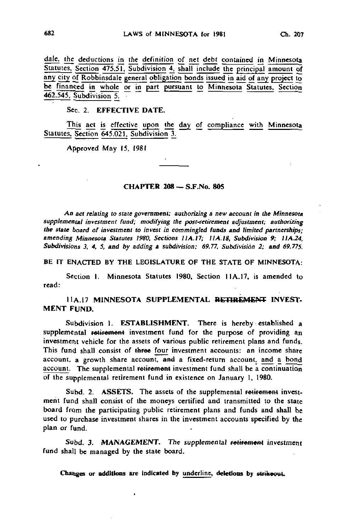dale, the deductions in the definition of net debt contained in Minnesota Statutes, Section 475.51. Subdivision 4, shall include the principal amount of any city of Robbinsdale general obligation bonds issued in aid of any project to be financed in whole or in part pursuant to Minnesota Statutes, Section 462.545, Subdivision 5. •

Sec. 2. EFFECTIVE DATE.

This act is effective upon the day of compliance with Minnesota Statutes. Section 645.021, Subdivision 3.

Approved May 15, 1981

## CHAPTER 208 — S.F.No. 805

An act relating to state government; authorizing a new account in the Minnesota supplemental investment fund; modifying the post-retirement adjustment; authorizing the state board of investment to invest in commingled funds and limited partnerships; amending Minnesota Statutes 1980, Sections I1A.I7; 1IA.I8. Subdivision 9; 11A.24, Subdivisions 3, 4, 5, and by adding a subdivision; 69,77, Subdivision 2; and 69.77\$.

BE IT ENACTED BY THE LEGISLATURE OF THE STATE OF MINNESOTA:

Section I. Minnesota Statutes 1980, Section IIA.17, is amended to read:

II A. 17 MINNESOTA SUPPLEMENTAL RETIREMENT INVEST-MENT FUND.

Subdivision 1. ESTABLISHMENT. There is hereby established a supplemental retirement investment fund for the purpose of providing an investment vehicle for the assets of various public retirement plans and funds. This fund shall consist of three four investment accounts: an income share account, a growth share account, and a fixed-return account, and a bond account. The supplemental retirement investment fund shall be a continuation of the supplemental retirement fund in existence on January 1, 1980.

Subd. 2. ASSETS. The assets of the supplemental retirement investment fund shall consist of the moneys certified and transmitted to the state board from the participating public retirement plans and funds and shall be used to purchase investment shares in the investment accounts specified by the plan or fund.

Subd. 3. MANAGEMENT. The supplemental retirement investment fund shall be managed by the state board.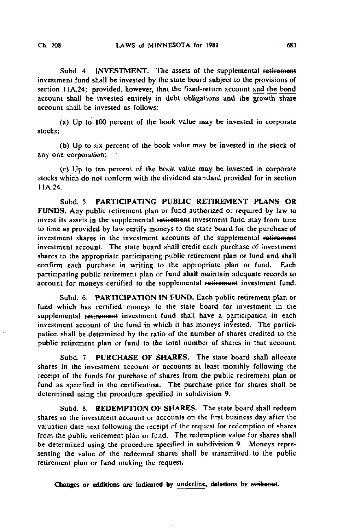Subd. 4. INVESTMENT. The assets of the supplemental retirement investment fund shall be invested by the state board subject to the provisions of section 11A.24; provided, however, that the fixed-return account and the bond account shall be invested entirely in debt obligations and the growth share account shall be invested as follows:

(a) Up to 100 percent of the book value may be invested in corporate stocks;

(b) Up to six percent of the book value may be invested in the stock of any one corporation;

(c) Up to ten percent of the book value may be invested in corporate stocks which do not conform with the dividend standard provided for in section 11A.24.

Subd. 5. PARTICIPATING PUBLIC RETIREMENT PLANS OR FUNDS. Any public retirement plan or fund authorized or required by law to invest its assets in the supplemental retirement investment fund may from time to time as provided by law certify moneys to the state board for the purchase of investment shares in the investment accounts of the supplemental retirement investment account. The state board shall credit each purchase of investment shares to the appropriate participating public retirement plan or fund and shall confirm each purchase in writing to the appropriate plan or fund. Each participating public retirement plan or fund shall maintain adequate records to account for moneys certified to the supplemental retirement investment fund.

Subd. 6. PARTICIPATION IN FUND. Each public retirement plan or fund which has certified moneys to the state board for investment in the supplemental retirement investment fund shall have a participation in each investment account of the fund in which it has moneys invested. The participation shall be determined by the ratio of the number of shares credited to the public retirement plan or fund to the total number of shares in that account.

Subd. 7. PURCHASE OF SHARES. The state board shall allocate shares in the investment account or accounts at least monthly following the receipt of the funds for purchase of shares from the public retirement plan or fund as specified in the certification. The purchase price for shares shall be determined using the procedure specified in subdivision 9.

Subd. 8. REDEMPTION OF SHARES. The state board shall redeem shares in the investment account or accounts on the first business day after the valuation date next following the receipt of the request for redemption of shares from the public retirement plan or fund. The redemption value for shares shall be determined using the procedure specified in subdivision 9. Moneys representing the value of the redeemed shares shall be transmitted to the public retirement plan or fund making the request.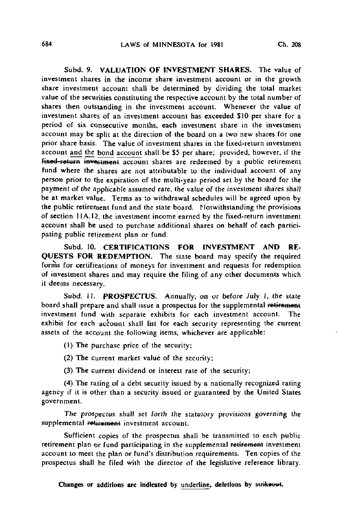Subd. 9. VALUATION OF INVESTMENT SHARES. The value of investment shares in the income share investment account or in the growth share investment account shall be determined by dividing the total market value of the securities constituting the respective account by the total number of shares then outstanding in the investment account. Whenever the value of investment shares of an investment account has exceeded \$10 per share for a period of six consecutive months, each investment share in the investment account may be split at the direction of the board on a two new shares for one prior share basis. The value of investment shares in the fixed-return investment account and the bond account shall be \$5 per share; provided, however, if the  $f$ ixed-return investment account shares are redeemed by a public retirement fund where the shares are not attributable to the individual account of any person prior to the expiration of the multi-year period set by the board for the payment of the applicable assumed rate, the value of the investment shares shall be at market value. Terms as to withdrawal schedules will be agreed upon by the public retirement fund and the state board. Notwithstanding the provisions of section 11A.12, the investment income earned by the fixed-return investment account shall be used to purchase additional shares on behalf of each participating public retirement plan or fund.

Subd. 10. CERTIFICATIONS FOR INVESTMENT AND RE-QUESTS FOR REDEMPTION. The state board may specify the required forms for certifications of moneys for investment and requests for redemption of investment shares and may require the filing of any other documents which it deems necessary.

Subd. 11. PROSPECTUS. Annually, on or before July 1, the state board shall prepare and shall issue a prospectus for the supplemental retirement investment fund with separate exhibits for each investment account. The exhibit for each account shall list for each security representing the current assets of the account the following items, whichever are applicable:

- (1) The purchase price of the security;
- (2) The current market value of the security;
- (3) The current dividend or interest rate of the security;

(4) The rating of a debt security issued by a nationally recognized rating agency if it is other than a security issued or guaranteed by the United States government.

The prospectus shall set forth the statutory provisions governing the supplemental retirement investment account.

Sufficient copies of the prospectus shall be transmitted to each public retirement plan or fund participating in the supplemental retirement investment account to meet the plan or fund's distribution requirements. Ten copies of the prospectus shall be filed with the director of the legislative reference library.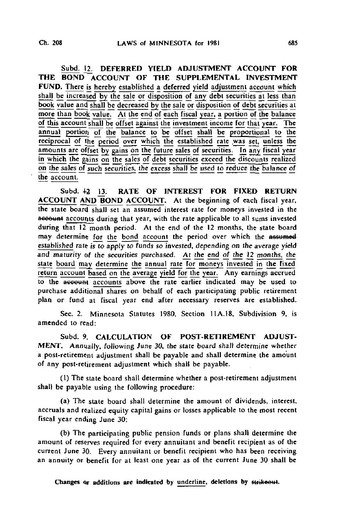Subd. 12. DEFERRED YIELD ADJUSTMENT ACCOUNT FOR THE BOND ACCOUNT OF THE SUPPLEMENTAL INVESTMENT FUND. There is hereby established a deferred yield adjustment account which shall be increased by the sale or disposition of any debt securities at less than book value and shall be decreased by the sale or disposition of debt securities at more than book value. At the end of each fiscal year, a portion of the balance of this account shall be offset against the investment income for that year. The annual portion of the balance to be offset shall be proportional to the reciprocal of the period over which the established rate was set, unless the amounts are offset by gains on the future sales of securities. In any fiscal year in which the gains on the sales of debt securities exceed the discounts realized on the sales of such securities, the excess shall be used to reduce the balance of the account.

Subd. 42 13. RATE OF INTEREST FOR FIXED RETURN ACCOUNT AND BOND ACCOUNT. At the beginning of each fiscal year, the state board shall set an assumed interest rate for moneys invested in the account accounts during that year, with the rate applicable to all sums invested during that 12 month period. At the end of the 12 months, the state board may determine for the bond account the period over which the assumed established rate is to apply to funds so invested, depending on the average yield and maturity of the securities purchased. At the end of the 12 months, the state board may determine the annual rate for moneys invested in the fixed return account based on the average yield for the year. Any earnings accrued to the account accounts above the rate earlier indicated may be used to purchase additional shares on behalf of each participating public retirement plan or fund at fiscal year end after necessary reserves are established.

Sec. 2. Minnesota Statutes 1980, Section 11A.18, Subdivision 9, is amended to read:

Subd. 9. CALCULATION OF POST-RETIREMENT ADJUST-MENT. Annually, following June 30, the state board shall determine whether a post-retirement adjustment shall be payable and shall determine the amount of any post-retirement adjustment which shall be payable.

(1) The state board shall determine whether a post-retirement adjustment shall be payable using the following procedure:

(a) The state board shall determine the amount of dividends, interest, accruals and realized equity capital gains or losses applicable to the most recent fiscal year ending June 30;

(b) The participating public pension funds or plans shall determine the amount of reserves required for every annuitant and benefit recipient as of the current June 30. Every annuitant or benefit recipient who has been receiving an annuity or benefit for at least one year as of the current June 30 shall be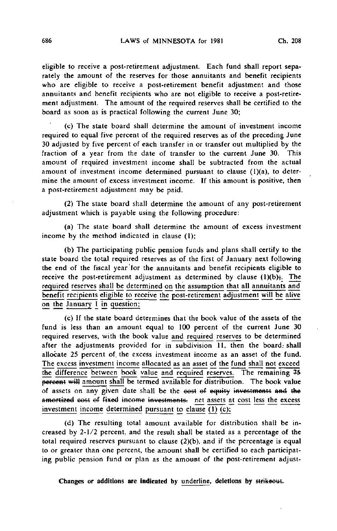eligible to receive a post-retirement adjustment. Each fund shall report separately the amount of the reserves for those annuitants and benefit recipients who are eligible to receive a post-retirement benefit adjustment and those annuitants and benefit recipients who are not eligible to receive a post-retirement adjustment. The amount of the required reserves shall be certified to the board as soon as is practical following the current June 30;

(c) The state board shall determine the amount of investment income required to equal five percent of the required reserves as of the preceding June 30 adjusted by five percent of each transfer in or transfer out multiplied by the fraction of a year from the date of transfer to the current June 30. This amount of required investment income shall be subtracted from the actual amount of investment income determined pursuant to clause (1)(a), to determine the amount of excess investment income. If this amount is positive, then a post-retirement adjustment may be paid.

(2) The state board shall determine the amount of any post-retirement adjustment which is payable using the following procedure:

(a) The state board shall determine the amount of excess investment income by the method indicated in clause (1);

(b) The participating public pension funds and plans shall certify to the state board the total required reserves as of the first of January next following the end of the fiscal year'for the annuitants and benefit recipients eligible to receive the post-retirement adjustment as determined by clause  $(l)(b)$ . The required reserves shall be determined on the assumption that all annuitants and benefit recipients eligible to receive the post-retirement adjustment will be alive on the January 1 in question;

(c) If the state board determines that the book value of the assets of the fund is less than an amount equal to 100 percent of the current June 30 required reserves, with the book value and required reserves to be determined after the adjustments provided for in subdivision 11, then the board: shall allocate 25 percent of. the excess investment income as an asset of the fund. The excess investment income allocated as an asset of the fund shall not exceed the difference between book value and required reserves. The remaining ?5 percent will amount shall be termed available for distribution. The book value of assets on any given date shall be the eest of equity investments and the amortized cost of fixed income investments, net assets at cost less the excess investment income determined pursuant to clause (I) (c);

(d) The resulting total amount available for distribution shall be increased by 2-1/2 percent, and the result shall be stated as a percentage of the total required reserves pursuant to clause  $(2)(b)$ , and if the percentage is equal to or greater than one percent, the amount shall be certified to each participating public pension fund or plan as the amount of the post-retirement adjust-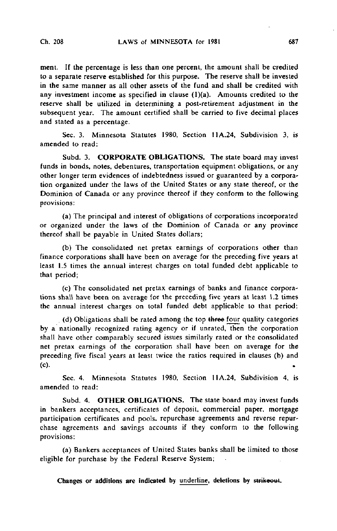meni. If the percentage is less than one percent, the amount shall be credited to a separate reserve established for this purpose. The reserve shall be invested in the same manner as all other assets of the fund and shall be credited with any investment income as specified in clause  $(1)(a)$ . Amounts credited to the reserve shall be utilized in determining a post-retirement adjustment in the subsequent year. The amount certified shall be carried to five decimal places and stated as a percentage.

Sec. 3. Minnesota Statutes 1980, Section 11A.24, Subdivision 3, is amended to read:

Subd. 3. CORPORATE OBLIGATIONS. The state board may invest funds in bonds, notes, debentures, transportation equipment obligations, or any other longer term evidences of indebtedness issued or guaranteed by a corporation organized under the laws of the United States or any state thereof, or the Dominion of Canada or any province thereof if they conform to the following provisions:

(a) The principal and interest of obligations of corporations incorporated or organized under the laws of the Dominion of Canada or any province thereof shall be payable in United States dollars;

(b) The consolidated net pretax earnings of corporations other than finance corporations shall have been on average for the preceding five years at least 1.5 times the annual interest charges on total funded debt applicable to that period;

(c) The consolidated net pretax earnings of banks and finance corporations shall have been on average for the preceding five years at least 1.2 times the annual interest charges on total funded debt applicable to that period;

 $(d)$  Obligations shall be rated among the top three four quality categories by a nationally recognized rating agency or if unrated, then the corporation shall have other comparably secured issues similarly rated or the consolidated net pretax earnings of the corporation shall have been on average for the preceding five fiscal years at least twice the ratios required in clauses (b) and (c).

Sec. 4. Minnesota Statutes 1980, Section 11A.24, Subdivision 4, is amended to read:

Subd. 4. OTHER OBLIGATIONS. The state board may invest funds in bankers acceptances, certificates of deposit, commercial paper, mortgage participation certificates and pools, repurchase agreements and reverse repurchase agreements and savings accounts if they conform to the following provisions:

(a) Bankers acceptances of United States banks shall be limited to those eligible for purchase by the Federal Reserve System;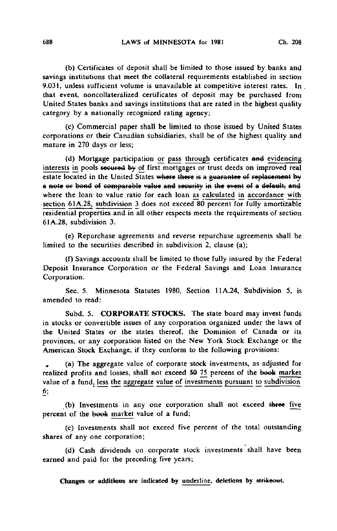(b) Certificates of deposit shall be limited to those issued by banks and savings institutions that meet the collateral requirements established in section 9.031, unless sufficient volume is unavailable at competitive interest rates. In that event, noncollateralized certificates of deposit may be purchased from United States banks and savings institutions that are rated in the highest quality category by a nationally recognized rating agency;

(c) Commercial paper shall be limited to those issued by United States corporations or their Canadian subsidiaries, shall be of the highest quality and mature in 270 days or less;

(d) Mortgage participation or pass through certificates and evidencing interests in pools secured by of first mortgages or trust deeds on improved real estate located in the United States where there is a guarantee of replacement by a note or bond of comparable value and security in the event of a default, and where the loan to value ratio for each loan as calculated in accordance with section 61A.28, subdivision 3 does not exceed 80 percent for fully amortizable residential properties and in all other respects meets the requirements of section 61A.28, subdivision 3.

(e) Repurchase agreements and reverse repurchase agreements shall be limited to the securities described in subdivision 2, clause (a);

(f) Savings accounts shall be limited to those fully insured by the Federal Deposit Insurance Corporation or the Federal Savings and Loan Insurance Corporation.

Sec. 5. Minnesota Statutes 1980, Section 11A.24, Subdivision 5, is amended to read:

Subd. 5. CORPORATE STOCKS. The state board may invest funds in stocks or convertible issues of any corporation organized under the laws of the United States or the states thereof, the Dominion of Canada or its provinces, or any corporation listed on the New York Stock Exchange or the American Stock Exchange, if they conform to the following provisions:

(a) The aggregate value of corporate stock investments, as adjusted for realized profits and losses, shall not exceed 50 75 percent of the book market value of a fund, less the aggregate value of investments pursuant to subdivision 6;

(b) Investments in any one corporation shall not exceed three five percent of the book market value of a fund;

(c) Investments shall not exceed five percent of the total outstanding shares of any one corporation;

(d) Cash dividends on corporate stock investments shall have been earned and paid for the preceding five years;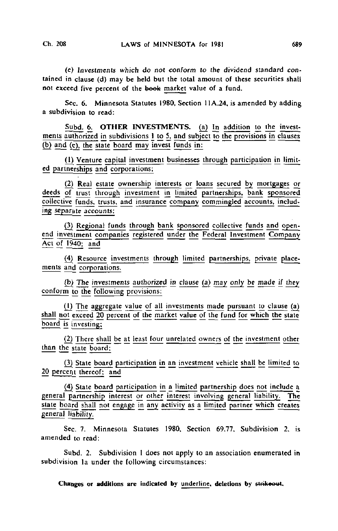(e) Investments which do not conform to the dividend standard contained in clause (d) may be held but the total amount of these securities shall not exceed five percent of the book market value of a fund.

Sec. 6. Minnesota Statutes 1980, Section 11A.24, is amended by adding a subdivision to read:

Subd. 6. OTHER INVESTMENTS. (a) In addition to the investments authorized in subdivisions 1 to 5, and subject to the provisions in clauses (b) and (c), the state board may invest funds in:

(1) Venture capital investment businesses through participation in limited partnerships and corporations;

(2) Real estate ownership interests or loans secured by mortgages or deeds of trust through investment in limited partnerships, bank sponsored collective funds, trusts, and insurance company commingled accounts, including separate accounts:

(3) Regional funds through bank sponsored collective funds and openend investment companies registered under the Federal Investment Company Act of 1940; and

(4) Resource investments through limited partnerships, private placements and corporations.

 $(b)$  The investments authorized in clause (a) may only be made if they conform to the following provisions:

0) The aggregate value of all investments made pursuant to clause (a) shall not exceed 20 percent of the market value of the Fund for which the state board is investing;

(2) There shall be at least four unrelated owners of the investment other than the state board:

(3) State board participation in an investment vehicle shall be limited to 20 percent thereof; and

(4) State board participation in a limited partnership does not include a general partnership interest or other interest involving general liability. The state board shall not engage in any activity as a limited partner which creates general liability.

Sec. 7. Minnesota Statutes 1980, Section 69.77, Subdivision 2, is amended to read:

Subd. 2. Subdivision 1 does not apply to an association enumerated in subdivision la under the following circumstances: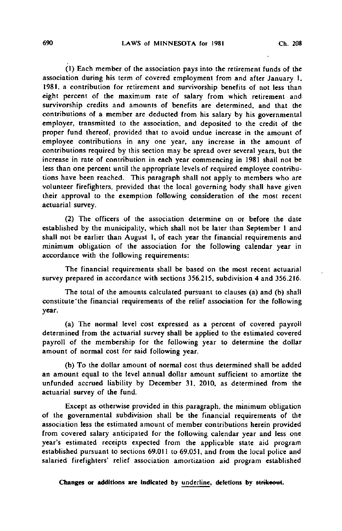(J) Each member of the association pays into the retirement funds of the association during his term of covered employment from and after January I, 1981, a contribution for retirement and survivorship benefits of not less than eight percent of the maximum rate of salary from which retirement and survivorship credits and amounts of benefits are determined, and that the contributions of a member are deducted from his salary by his governmental employer, transmitted to the association, and deposited to the credit of the proper fund thereof, provided that to avoid undue increase in the amount of employee contributions in any one year, any increase in the amount of contributions required by this section may be spread over several years, but the increase in rate of contribution in each year commencing in 1981 shall not be less than one percent until the appropriate levels of required employee contributions have been reached. This paragraph shall not apply to members who are volunteer firefighters, provided that the local governing body shall have given their approval to the exemption following consideration of the most recent actuarial survey.

(2) The officers of the association determine on or before the date established by the municipality, which shall not be later than September 1 and shall not be earlier than August I, of each year the financial requirements and minimum obligation of the association for the following calendar year in accordance with the following requirements:

The financial requirements shall be based on the most recent actuarial survey prepared in accordance with sections 356.215, subdivision 4 and 356.216.

The total of the amounts calculated pursuant to clauses (a) and (b) shall constitute'the financial requirements of the relief association for the following year.

(a) The normal level cost expressed as a percent of covered payroll determined from the actuarial survey shall be applied to the estimated covered payroll of the membership for the following year to determine the dollar amount of normal cost for said following year.

(b) To the dollar amount of normal cost thus determined shall be added an amount equal to the level annual dollar amount sufficient to amortize the unfunded accrued liability by December 31, 2010, as determined from the actuarial survey of the fund.

Except as otherwise provided in this paragraph, the minimum obligation of the governmental subdivision shall be the financial requirements of the association less the estimated amount of member contributions herein provided from covered salary anticipated for the following calendar year and less one year's estimated receipts expected from the applicable state aid program established pursuant to sections 69.011 to 69.051, and from the local police and salaried firefighters' relief association amortization aid program established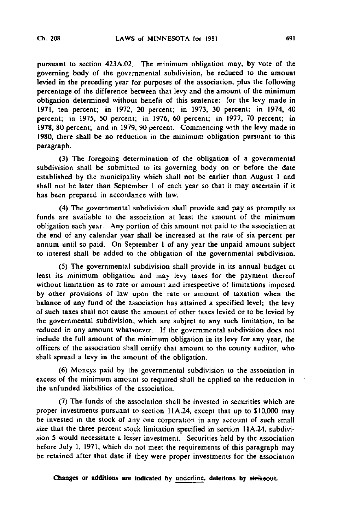pursuant to section 423A.02. The minimum obligation may, by vote of the governing body of the governmental subdivision, be reduced to the amount levied in the preceding year for purposes of the association, plus the following percentage of the difference between that levy and the amount of the minimum obligation determined without benefit of this sentence: for the levy made in 1971, ten percent; in 1972, 20 percent; in 1973, 30 percent; in 1974, 40 percent; in 1975, 50 percent; in 1976, 60 percent; in 1977, 70 percent; in 1978, 80 percent; and in 1979, 90 percent. Commencing with the levy made in 1980, there shall be no reduction in the minimum obligation pursuant to this paragraph.

(3) The foregoing determination of the obligation of a governmental subdivision shall be submitted to its governing body on or before the date established by the municipality which shall not be earlier than August I and shall not be later than September 1 of each year so that it may ascertain if it has been prepared in accordance with law.

(4) The governmental subdivision shall provide and pay as promptly as funds are available to the association at least the amount of the minimum obligation each year. Any portion of this amount not paid to the association at the end of any calendar year shall be increased at the rate of six percent per annum until so paid. On September 1 of any year the unpaid amount subject to interest shall be added to the obligation of the governmental subdivision.

(5) The governmental subdivision shall provide in its annual budget at least its minimum obligation and may levy taxes for the payment thereof without limitation as to rate or amount and irrespective of limitations imposed by other provisions of law upon the rate or amount of taxation when the balance of any fund of the association has attained a specified level; the levy of such taxes shall not cause the amount of other taxes levied or to be levied by the governmental subdivision, which are subject to any such limitation, to be reduced in any amount whatsoever. If the governmental subdivision does not include the full amount of the minimum obligation in its levy for any year, the officers of the association shall certify that amount to the county auditor, who shall spread a levy in the amount of the obligation.

(6) Moneys paid by the governmental subdivision to the association in excess of the minimum amount so required shall be applied to the reduction in the unfunded liabilities of the association.

(7) The funds of the association shall be invested in securities which are proper investments pursuant to section 11A.24, except that up to \$10,000 may be invested in the stock of any one corporation in any account of such small size that the three percent stock limitation specified in section 1IA.24, subdivision 5 would necessitate a lesser investment. Securities held by the association before July 1, 1971, which do not meet the requirements of this paragraph may be retained after that date if they were proper investments for the association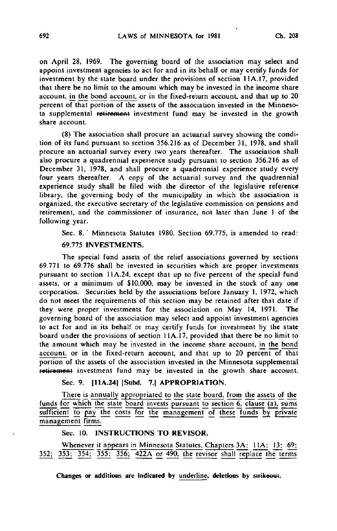on April 28, 1969. The governing board of the association may select and appoint investment agencies to act for and in its behalf or may certify funds for investment by the state board under the provisions of section 1IA.I7, provided that there be no limit to the amount which may be invested in the income share account, in the bond account, or in the fixed-return account, and that up to 20 percent of that portion of the assets of the association invested in the Minnesota supplemental retirement investment fund may be invested in the growth share account.

(8) The association shall procure an actuarial survey showing the condition of its fund pursuant to section 356.216 as of December 31, 1978, and shall procure an actuarial survey every two years thereafter. The association shall also procure a quadrennial experience study pursuant to section 356.216 as of December 31, 1978, and shall procure a quadrennial experience study every four years thereafter. A copy of the actuarial survey and the quadrennial experience study shall be filed with the director of the legislative reference library, the governing body of the municipality in which the association is organized, the executive secretary of the legislative commission on pensions and retirement, and the commissioner of insurance, not later than June I of the following year.

Sec. 8. ' Minnesota Statutes 1980, Section 69.775, is amended to read: 69.775 INVESTMENTS.

The special fund assets of the relief associations governed by sections 69.771 to 69.776 shall be invested in securities which are proper investments pursuant to section 11A.24, except that up to five percent of the special fund assets, or a minimum of \$10,000, may be invested in the stock of any one corporation. Securities held by the associations before January 1, 1972, which do not meet the requirements of this section may be retained after that date if they were proper investments for the association on May 14, 1971. The governing board of the association may select and appoint investment agencies to act for and in its behalf or may certify funds for investment by the state board under the provisions of section 11A.17, provided that there be no limit to the amount which may be invested in the income share account, in the bond account, or in the fixed-return account, and that up to 20 percent of that portion of the assets of the association invested in the Minnesota supplemental retirement investment fund may be invested in the growth share account.

## Sec. 9. [11A.24] [Subd. 7.] APPROPRIATION.

There is annually appropriated to the state board, from the assets of the funds for which the state board invests pursuant to section 6, clause (a), sums sufficient to pay the costs for the management of these funds by private management firms.

Sec. 10. INSTRUCTIONS TO REVISOR;

Whenever it appears in Minnesota Statutes. Chapters 3A: 11A: 13: 69; 352; 353; 354; 355; 356; 422A or 490, the revisor shall replace the terms